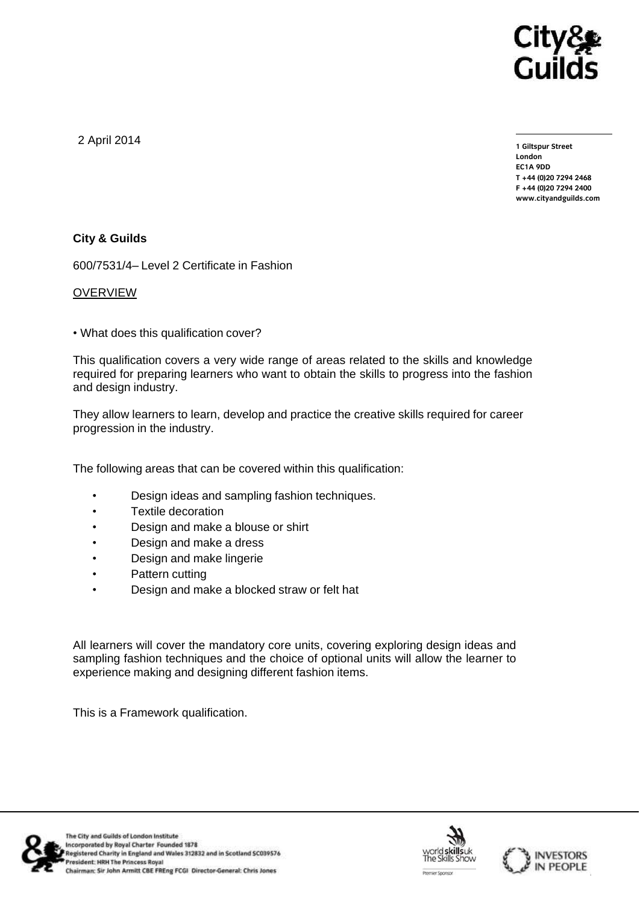

2 April 2014

**1 Giltspur Street EC1A 9DD** T +44 (0)20 7294 2468 **T +44 (0)20 7294 246[8](http://www.cityandguilds.com/) F +44** (1)<br>Example: altreadernikle ee **[www.cityandguilds.com](http://www.cityandguilds.com/)**

# **City & Guilds**

600/7531/4– Level 2 Certificate in Fashion

## OVERVIEW

• What does this qualification cover?

This qualification covers a very wide range of areas related to the skills and knowledge required for preparing learners who want to obtain the skills to progress into the fashion and design industry.

They allow learners to learn, develop and practice the creative skills required for career progression in the industry.

The following areas that can be covered within this qualification:

- Design ideas and sampling fashion techniques.
- Textile decoration
- Design and make a blouse or shirt
- Design and make a dress
- Design and make lingerie
- Pattern cutting
- Design and make a blocked straw or felt hat

All learners will cover the mandatory core units, covering exploring design ideas and sampling fashion techniques and the choice of optional units will allow the learner to experience making and designing different fashion items.

This is a Framework qualification.